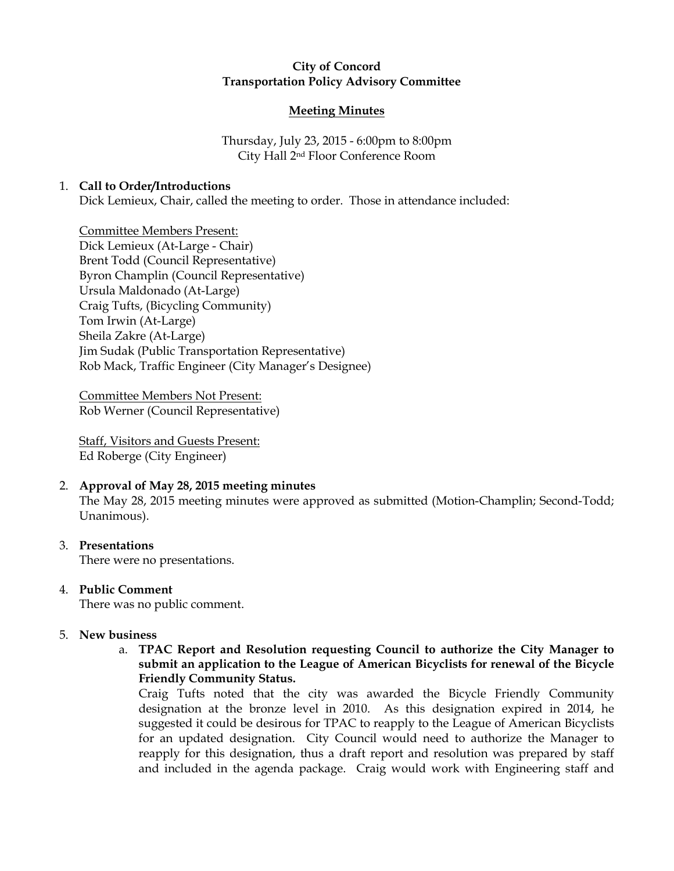# City of Concord Transportation Policy Advisory Committee

### Meeting Minutes

Thursday, July 23, 2015 - 6:00pm to 8:00pm City Hall 2nd Floor Conference Room

#### 1. Call to Order/Introductions

Dick Lemieux, Chair, called the meeting to order. Those in attendance included:

Committee Members Present: Dick Lemieux (At-Large - Chair) Brent Todd (Council Representative) Byron Champlin (Council Representative) Ursula Maldonado (At-Large) Craig Tufts, (Bicycling Community) Tom Irwin (At-Large) Sheila Zakre (At-Large) Jim Sudak (Public Transportation Representative) Rob Mack, Traffic Engineer (City Manager's Designee)

Committee Members Not Present: Rob Werner (Council Representative)

Staff, Visitors and Guests Present: Ed Roberge (City Engineer)

# 2. Approval of May 28, 2015 meeting minutes

The May 28, 2015 meeting minutes were approved as submitted (Motion-Champlin; Second-Todd; Unanimous).

3. Presentations

There were no presentations.

4. Public Comment

There was no public comment.

- 5. New business
	- a. TPAC Report and Resolution requesting Council to authorize the City Manager to submit an application to the League of American Bicyclists for renewal of the Bicycle Friendly Community Status.

Craig Tufts noted that the city was awarded the Bicycle Friendly Community designation at the bronze level in 2010. As this designation expired in 2014, he suggested it could be desirous for TPAC to reapply to the League of American Bicyclists for an updated designation. City Council would need to authorize the Manager to reapply for this designation, thus a draft report and resolution was prepared by staff and included in the agenda package. Craig would work with Engineering staff and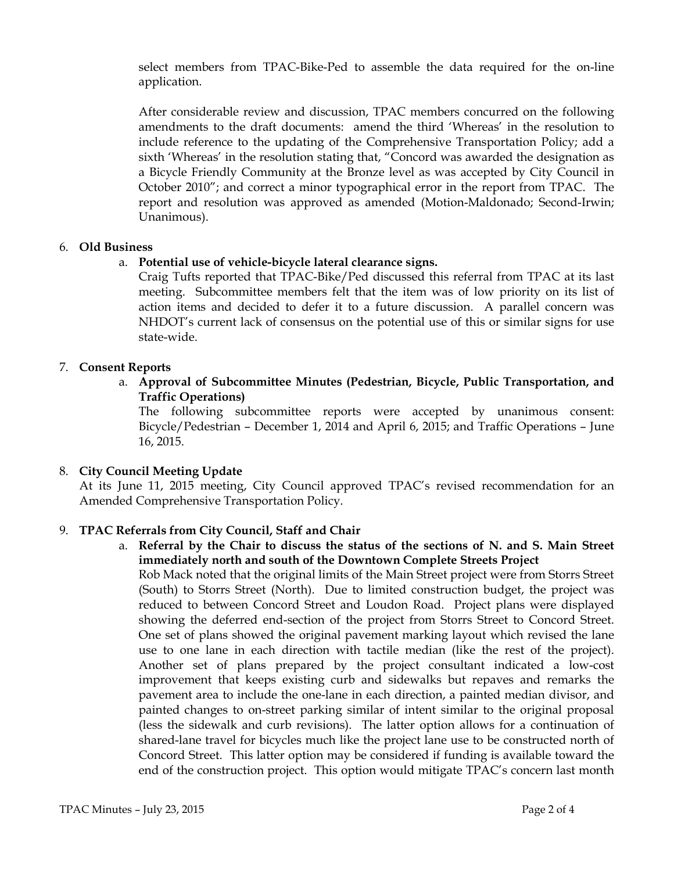select members from TPAC-Bike-Ped to assemble the data required for the on-line application.

After considerable review and discussion, TPAC members concurred on the following amendments to the draft documents: amend the third 'Whereas' in the resolution to include reference to the updating of the Comprehensive Transportation Policy; add a sixth 'Whereas' in the resolution stating that, "Concord was awarded the designation as a Bicycle Friendly Community at the Bronze level as was accepted by City Council in October 2010"; and correct a minor typographical error in the report from TPAC. The report and resolution was approved as amended (Motion-Maldonado; Second-Irwin; Unanimous).

#### 6. Old Business

# a. Potential use of vehicle-bicycle lateral clearance signs.

Craig Tufts reported that TPAC-Bike/Ped discussed this referral from TPAC at its last meeting. Subcommittee members felt that the item was of low priority on its list of action items and decided to defer it to a future discussion. A parallel concern was NHDOT's current lack of consensus on the potential use of this or similar signs for use state-wide.

#### 7. Consent Reports

a. Approval of Subcommittee Minutes (Pedestrian, Bicycle, Public Transportation, and Traffic Operations)

The following subcommittee reports were accepted by unanimous consent: Bicycle/Pedestrian – December 1, 2014 and April 6, 2015; and Traffic Operations – June 16, 2015.

# 8. City Council Meeting Update

At its June 11, 2015 meeting, City Council approved TPAC's revised recommendation for an Amended Comprehensive Transportation Policy.

# 9. TPAC Referrals from City Council, Staff and Chair

a. Referral by the Chair to discuss the status of the sections of N. and S. Main Street immediately north and south of the Downtown Complete Streets Project

Rob Mack noted that the original limits of the Main Street project were from Storrs Street (South) to Storrs Street (North). Due to limited construction budget, the project was reduced to between Concord Street and Loudon Road. Project plans were displayed showing the deferred end-section of the project from Storrs Street to Concord Street. One set of plans showed the original pavement marking layout which revised the lane use to one lane in each direction with tactile median (like the rest of the project). Another set of plans prepared by the project consultant indicated a low-cost improvement that keeps existing curb and sidewalks but repaves and remarks the pavement area to include the one-lane in each direction, a painted median divisor, and painted changes to on-street parking similar of intent similar to the original proposal (less the sidewalk and curb revisions). The latter option allows for a continuation of shared-lane travel for bicycles much like the project lane use to be constructed north of Concord Street. This latter option may be considered if funding is available toward the end of the construction project. This option would mitigate TPAC's concern last month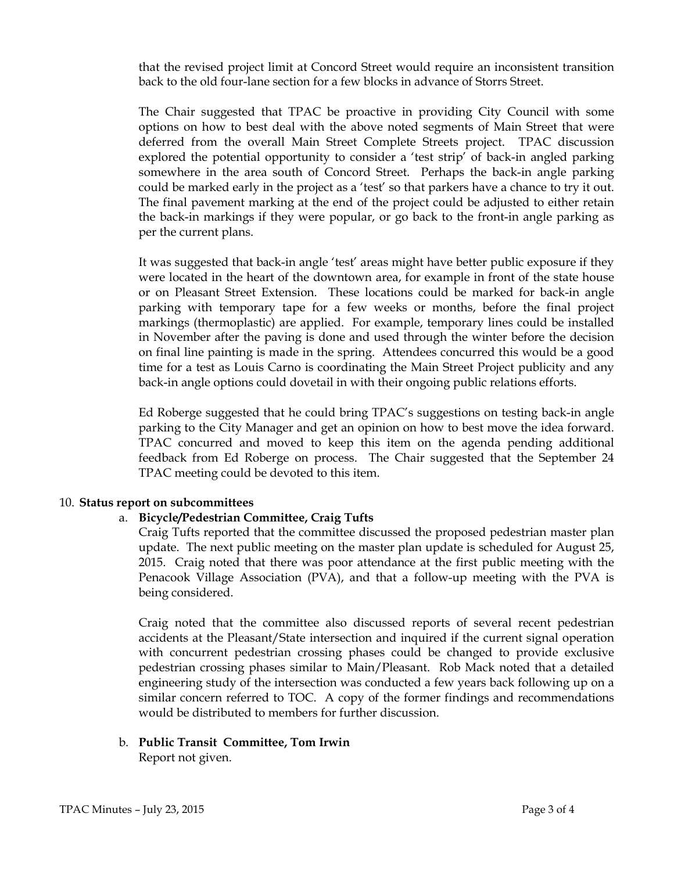that the revised project limit at Concord Street would require an inconsistent transition back to the old four-lane section for a few blocks in advance of Storrs Street.

The Chair suggested that TPAC be proactive in providing City Council with some options on how to best deal with the above noted segments of Main Street that were deferred from the overall Main Street Complete Streets project. TPAC discussion explored the potential opportunity to consider a 'test strip' of back-in angled parking somewhere in the area south of Concord Street. Perhaps the back-in angle parking could be marked early in the project as a 'test' so that parkers have a chance to try it out. The final pavement marking at the end of the project could be adjusted to either retain the back-in markings if they were popular, or go back to the front-in angle parking as per the current plans.

It was suggested that back-in angle 'test' areas might have better public exposure if they were located in the heart of the downtown area, for example in front of the state house or on Pleasant Street Extension. These locations could be marked for back-in angle parking with temporary tape for a few weeks or months, before the final project markings (thermoplastic) are applied. For example, temporary lines could be installed in November after the paving is done and used through the winter before the decision on final line painting is made in the spring. Attendees concurred this would be a good time for a test as Louis Carno is coordinating the Main Street Project publicity and any back-in angle options could dovetail in with their ongoing public relations efforts.

Ed Roberge suggested that he could bring TPAC's suggestions on testing back-in angle parking to the City Manager and get an opinion on how to best move the idea forward. TPAC concurred and moved to keep this item on the agenda pending additional feedback from Ed Roberge on process. The Chair suggested that the September 24 TPAC meeting could be devoted to this item.

#### 10. Status report on subcommittees

# a. Bicycle/Pedestrian Committee, Craig Tufts

Craig Tufts reported that the committee discussed the proposed pedestrian master plan update. The next public meeting on the master plan update is scheduled for August 25, 2015. Craig noted that there was poor attendance at the first public meeting with the Penacook Village Association (PVA), and that a follow-up meeting with the PVA is being considered.

Craig noted that the committee also discussed reports of several recent pedestrian accidents at the Pleasant/State intersection and inquired if the current signal operation with concurrent pedestrian crossing phases could be changed to provide exclusive pedestrian crossing phases similar to Main/Pleasant. Rob Mack noted that a detailed engineering study of the intersection was conducted a few years back following up on a similar concern referred to TOC. A copy of the former findings and recommendations would be distributed to members for further discussion.

b. Public Transit Committee, Tom Irwin Report not given.